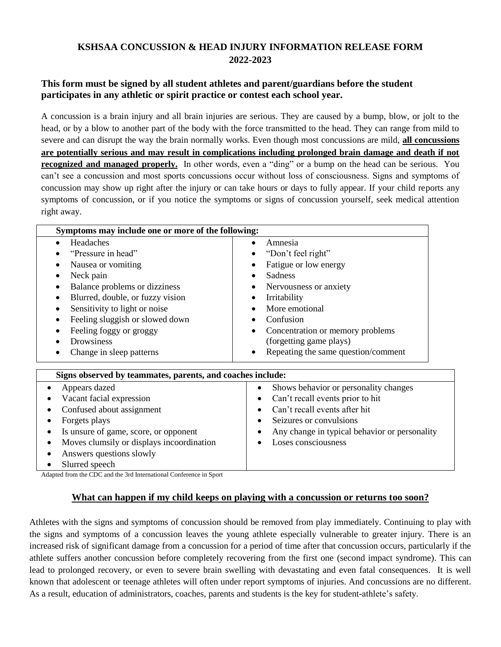# **KSHSAA CONCUSSION & HEAD INJURY INFORMATION RELEASE FORM 2022-2023**

### **This form must be signed by all student athletes and parent/guardians before the student participates in any athletic or spirit practice or contest each school year.**

A concussion is a brain injury and all brain injuries are serious. They are caused by a bump, blow, or jolt to the head, or by a blow to another part of the body with the force transmitted to the head. They can range from mild to severe and can disrupt the way the brain normally works. Even though most concussions are mild, **all concussions are potentially serious and may result in complications including prolonged brain damage and death if not recognized and managed properly.** In other words, even a "ding" or a bump on the head can be serious. You can't see a concussion and most sports concussions occur without loss of consciousness. Signs and symptoms of concussion may show up right after the injury or can take hours or days to fully appear. If your child reports any symptoms of concussion, or if you notice the symptoms or signs of concussion yourself, seek medical attention right away.

| Symptoms may include one or more of the following:                 |                                               |
|--------------------------------------------------------------------|-----------------------------------------------|
| Headaches<br>$\bullet$                                             | Amnesia<br>$\bullet$                          |
| "Pressure in head"                                                 | "Don't feel right"                            |
| Nausea or vomiting                                                 | Fatigue or low energy                         |
| Neck pain<br>$\bullet$                                             | Sadness                                       |
| Balance problems or dizziness<br>$\bullet$                         | Nervousness or anxiety                        |
| Blurred, double, or fuzzy vision                                   | Irritability<br>$\bullet$                     |
| Sensitivity to light or noise<br>٠                                 | More emotional                                |
| Feeling sluggish or slowed down<br>$\bullet$                       | Confusion<br>٠                                |
| Feeling foggy or groggy                                            | Concentration or memory problems              |
| Drowsiness                                                         | (forgetting game plays)                       |
| Change in sleep patterns                                           | Repeating the same question/comment           |
| Signs observed by teammates, parents, and coaches include:         |                                               |
| Appears dazed                                                      | Shows behavior or personality changes         |
| Vacant facial expression                                           | Can't recall events prior to hit              |
| Confused about assignment                                          | Can't recall events after hit                 |
| Forgets plays                                                      | Seizures or convulsions                       |
| Is unsure of game, score, or opponent                              | Any change in typical behavior or personality |
| Moves clumsily or displays incoordination                          | Loses consciousness                           |
| Answers questions slowly                                           |                                               |
| Slurred speech                                                     |                                               |
| Adopted from the CDC and the 2rd International Conference in Sport |                                               |

Adapted from the CDC and the 3rd International Conference in Sport

#### **What can happen if my child keeps on playing with a concussion or returns too soon?**

Athletes with the signs and symptoms of concussion should be removed from play immediately. Continuing to play with the signs and symptoms of a concussion leaves the young athlete especially vulnerable to greater injury. There is an increased risk of significant damage from a concussion for a period of time after that concussion occurs, particularly if the athlete suffers another concussion before completely recovering from the first one (second impact syndrome). This can lead to prolonged recovery, or even to severe brain swelling with devastating and even fatal consequences. It is well known that adolescent or teenage athletes will often under report symptoms of injuries. And concussions are no different. As a result, education of administrators, coaches, parents and students is the key for student-athlete's safety.